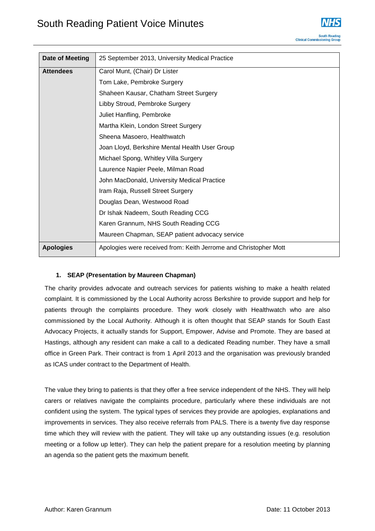

| Date of Meeting  | 25 September 2013, University Medical Practice                   |
|------------------|------------------------------------------------------------------|
| <b>Attendees</b> | Carol Munt, (Chair) Dr Lister                                    |
|                  | Tom Lake, Pembroke Surgery                                       |
|                  | Shaheen Kausar, Chatham Street Surgery                           |
|                  | Libby Stroud, Pembroke Surgery                                   |
|                  | Juliet Hanfling, Pembroke                                        |
|                  | Martha Klein, London Street Surgery                              |
|                  | Sheena Masoero, Healthwatch                                      |
|                  | Joan Lloyd, Berkshire Mental Health User Group                   |
|                  | Michael Spong, Whitley Villa Surgery                             |
|                  | Laurence Napier Peele, Milman Road                               |
|                  | John MacDonald, University Medical Practice                      |
|                  | Iram Raja, Russell Street Surgery                                |
|                  | Douglas Dean, Westwood Road                                      |
|                  | Dr Ishak Nadeem, South Reading CCG                               |
|                  | Karen Grannum, NHS South Reading CCG                             |
|                  | Maureen Chapman, SEAP patient advocacy service                   |
| <b>Apologies</b> | Apologies were received from: Keith Jerrome and Christopher Mott |

# **1. SEAP (Presentation by Maureen Chapman)**

The charity provides advocate and outreach services for patients wishing to make a health related complaint. It is commissioned by the Local Authority across Berkshire to provide support and help for patients through the complaints procedure. They work closely with Healthwatch who are also commissioned by the Local Authority. Although it is often thought that SEAP stands for South East Advocacy Projects, it actually stands for Support, Empower, Advise and Promote. They are based at Hastings, although any resident can make a call to a dedicated Reading number. They have a small office in Green Park. Their contract is from 1 April 2013 and the organisation was previously branded as ICAS under contract to the Department of Health.

The value they bring to patients is that they offer a free service independent of the NHS. They will help carers or relatives navigate the complaints procedure, particularly where these individuals are not confident using the system. The typical types of services they provide are apologies, explanations and improvements in services. They also receive referrals from PALS. There is a twenty five day response time which they will review with the patient. They will take up any outstanding issues (e.g. resolution meeting or a follow up letter). They can help the patient prepare for a resolution meeting by planning an agenda so the patient gets the maximum benefit.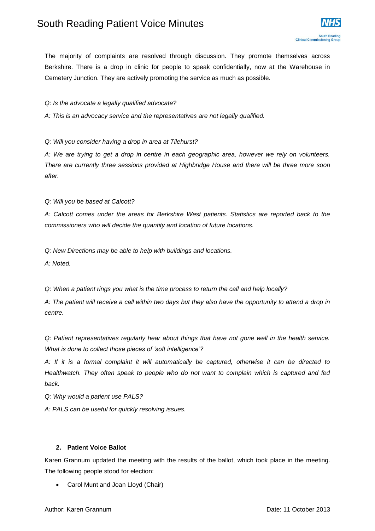The majority of complaints are resolved through discussion. They promote themselves across Berkshire. There is a drop in clinic for people to speak confidentially, now at the Warehouse in Cemetery Junction. They are actively promoting the service as much as possible.

### *Q: Is the advocate a legally qualified advocate?*

*A: This is an advocacy service and the representatives are not legally qualified.*

*Q: Will you consider having a drop in area at Tilehurst?*

*A: We are trying to get a drop in centre in each geographic area, however we rely on volunteers. There are currently three sessions provided at Highbridge House and there will be three more soon after.* 

*Q: Will you be based at Calcott?*

*A: Calcott comes under the areas for Berkshire West patients. Statistics are reported back to the commissioners who will decide the quantity and location of future locations.*

*Q: New Directions may be able to help with buildings and locations.*

*A: Noted.*

*Q: When a patient rings you what is the time process to return the call and help locally?*

*A: The patient will receive a call within two days but they also have the opportunity to attend a drop in centre.*

*Q: Patient representatives regularly hear about things that have not gone well in the health service. What is done to collect those pieces of 'soft intelligence'?*

*A: If it is a formal complaint it will automatically be captured, otherwise it can be directed to Healthwatch. They often speak to people who do not want to complain which is captured and fed back.*

*Q: Why would a patient use PALS?*

*A: PALS can be useful for quickly resolving issues.* 

# **2. Patient Voice Ballot**

Karen Grannum updated the meeting with the results of the ballot, which took place in the meeting. The following people stood for election:

Carol Munt and Joan Lloyd (Chair)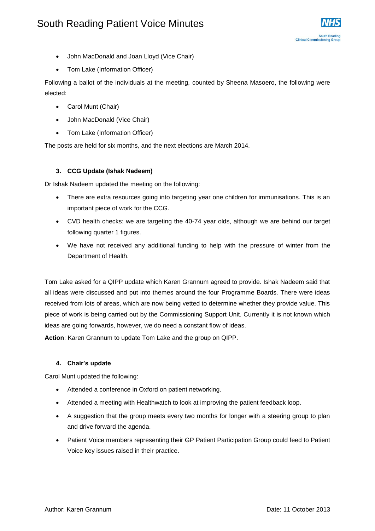- John MacDonald and Joan Lloyd (Vice Chair)
- Tom Lake (Information Officer)

Following a ballot of the individuals at the meeting, counted by Sheena Masoero, the following were elected:

- Carol Munt (Chair)
- John MacDonald (Vice Chair)
- Tom Lake (Information Officer)

The posts are held for six months, and the next elections are March 2014.

# **3. CCG Update (Ishak Nadeem)**

Dr Ishak Nadeem updated the meeting on the following:

- There are extra resources going into targeting year one children for immunisations. This is an important piece of work for the CCG.
- CVD health checks: we are targeting the 40-74 year olds, although we are behind our target following quarter 1 figures.
- We have not received any additional funding to help with the pressure of winter from the Department of Health.

Tom Lake asked for a QIPP update which Karen Grannum agreed to provide. Ishak Nadeem said that all ideas were discussed and put into themes around the four Programme Boards. There were ideas received from lots of areas, which are now being vetted to determine whether they provide value. This piece of work is being carried out by the Commissioning Support Unit. Currently it is not known which ideas are going forwards, however, we do need a constant flow of ideas.

**Action**: Karen Grannum to update Tom Lake and the group on QIPP.

# **4. Chair's update**

Carol Munt updated the following:

- Attended a conference in Oxford on patient networking.
- Attended a meeting with Healthwatch to look at improving the patient feedback loop.
- A suggestion that the group meets every two months for longer with a steering group to plan and drive forward the agenda.
- Patient Voice members representing their GP Patient Participation Group could feed to Patient Voice key issues raised in their practice.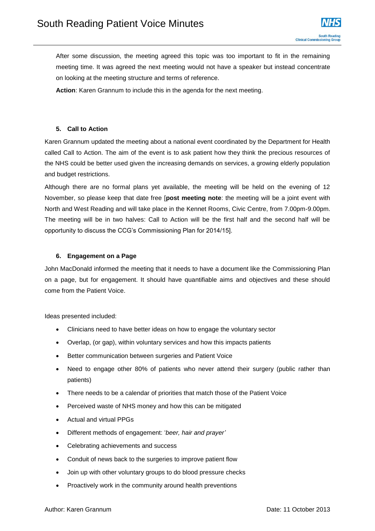After some discussion, the meeting agreed this topic was too important to fit in the remaining meeting time. It was agreed the next meeting would not have a speaker but instead concentrate on looking at the meeting structure and terms of reference.

**Action**: Karen Grannum to include this in the agenda for the next meeting.

# **5. Call to Action**

Karen Grannum updated the meeting about a national event coordinated by the Department for Health called Call to Action. The aim of the event is to ask patient how they think the precious resources of the NHS could be better used given the increasing demands on services, a growing elderly population and budget restrictions.

Although there are no formal plans yet available, the meeting will be held on the evening of 12 November, so please keep that date free [**post meeting note**: the meeting will be a joint event with North and West Reading and will take place in the Kennet Rooms, Civic Centre, from 7.00pm-9.00pm. The meeting will be in two halves: Call to Action will be the first half and the second half will be opportunity to discuss the CCG's Commissioning Plan for 2014/15].

# **6. Engagement on a Page**

John MacDonald informed the meeting that it needs to have a document like the Commissioning Plan on a page, but for engagement. It should have quantifiable aims and objectives and these should come from the Patient Voice.

Ideas presented included:

- Clinicians need to have better ideas on how to engage the voluntary sector
- Overlap, (or gap), within voluntary services and how this impacts patients
- Better communication between surgeries and Patient Voice
- Need to engage other 80% of patients who never attend their surgery (public rather than patients)
- There needs to be a calendar of priorities that match those of the Patient Voice
- Perceived waste of NHS money and how this can be mitigated
- Actual and virtual PPGs
- Different methods of engagement: '*beer, hair and prayer'*
- Celebrating achievements and success
- Conduit of news back to the surgeries to improve patient flow
- Join up with other voluntary groups to do blood pressure checks
- Proactively work in the community around health preventions